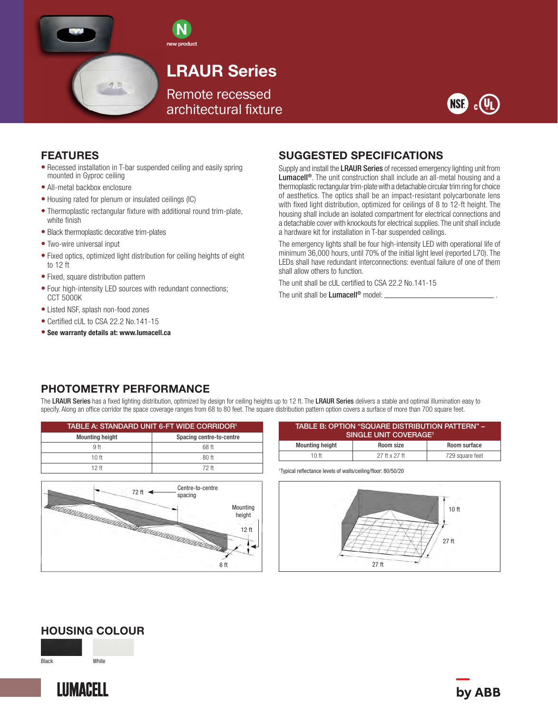



# LRAUR Series

Remote recessed architectural fixture



#### FEATURES

- Recessed installation in T-bar suspended ceiling and easily spring mounted in Gyproc ceiling
- All-metal backbox enclosure
- Housing rated for plenum or insulated ceilings (IC)

示:四

- Thermoplastic rectangular fixture with additional round trim-plate, white finish
- Black thermoplastic decorative trim-plates
- Two-wire universal input
- Fixed optics, optimized light distribution for ceiling heights of eight to 12 ft
- Fixed, square distribution pattern
- Four high-intensity LED sources with redundant connections; CCT 5000K
- Listed NSF, splash non-food zones
- Certified cUL to CSA 22.2 No.141-15
- See warranty details at: www.lumacell.ca

## SUGGESTED SPECIFICATIONS

Supply and install the LRAUR Series of recessed emergency lighting unit from Lumacell®. The unit construction shall include an all-metal housing and a thermoplastic rectangular trim-plate with a detachable circular trim ring for choice of aesthetics. The optics shall be an impact-resistant polycarbonate lens with fixed light distribution, optimized for ceilings of 8 to 12-ft height. The housing shall include an isolated compartment for electrical connections and a detachable cover with knockouts for electrical supplies. The unit shall include a hardware kit for installation in T-bar suspended ceilings.

The emergency lights shall be four high-intensity LED with operational life of minimum 36,000 hours, until 70% of the initial light level (reported L70). The LEDs shall have redundant interconnections: eventual failure of one of them shall allow others to function.

The unit shall be cUL certified to CSA 22.2 No.141-15

The unit shall be **Lumacell<sup>®</sup>** model:  $\Box$ 

## PHOTOMETRY PERFORMANCE

The LRAUR Series has a fixed lighting distribution, optimized by design for ceiling heights up to 12 ft. The LRAUR Series delivers a stable and optimal illumination easy to specify. Along an office corridor the space coverage ranges from 68 to 80 feet. The square distribution pattern option covers a surface of more than 700 square feet.

| TABLE A: STANDARD UNIT 6-FT WIDE CORRIDOR <sup>1</sup> |                          |  |  |
|--------------------------------------------------------|--------------------------|--|--|
| <b>Mounting height</b>                                 | Spacing centre-to-centre |  |  |
| 9 <sub>ft</sub>                                        | 68 ft                    |  |  |
| 10 <sup>ft</sup>                                       | $80$ ft                  |  |  |
| 12 ft                                                  | 72 ft                    |  |  |
|                                                        |                          |  |  |



| TABLE B: OPTION "SQUARE DISTRIBUTION PATTERN" -<br>SINGLE UNIT COVERAGE <sup>1</sup> |               |                 |  |  |  |
|--------------------------------------------------------------------------------------|---------------|-----------------|--|--|--|
| <b>Mounting height</b>                                                               | Room size     | Room surface    |  |  |  |
| 10 <sub>ft</sub>                                                                     | 27 ft x 27 ft | 729 square feet |  |  |  |

1 Typical reflectance levels of walls/ceiling/floor: 80/50/20



#### HOUSING COLOUR

Black White